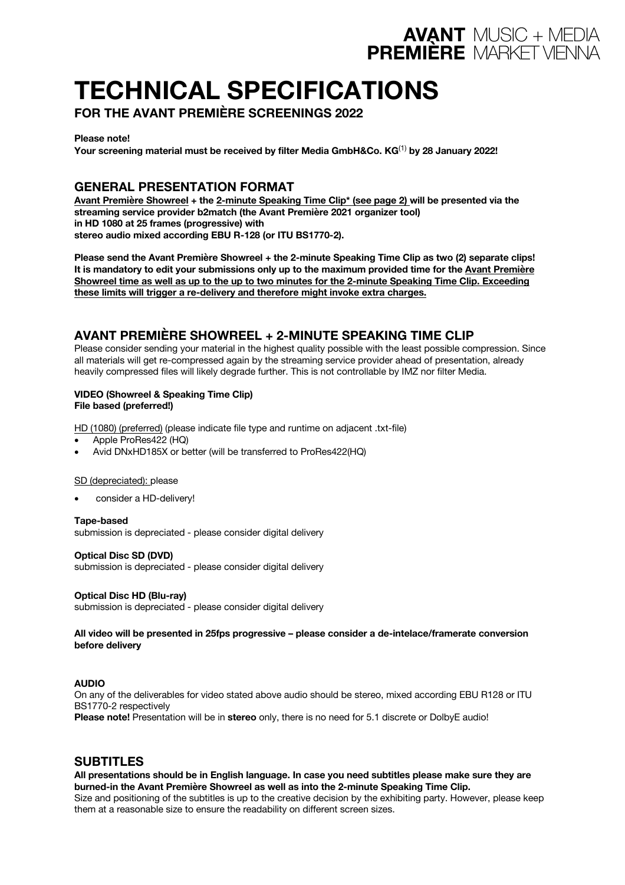# **TECHNICAL SPECIFICATIONS**

**FOR THE AVANT PREMIÈRE SCREENINGS 2022**

**Please note!**

**Your screening material must be received by filter Media GmbH&Co. KG**(1) **by 28 January 2022!**

**AVANT MUSIC + MEDIA**<br>**PREMIÈRE MARKET VIENNA** 

# **GENERAL PRESENTATION FORMAT**

**Avant Première Showreel + the 2-minute Speaking Time Clip\* (see page 2) will be presented via the streaming service provider b2match (the Avant Première 2021 organizer tool) in HD 1080 at 25 frames (progressive) with stereo audio mixed according EBU R-128 (or ITU BS1770-2).**

**Please send the Avant Première Showreel + the 2-minute Speaking Time Clip as two (2) separate clips!** It is mandatory to edit your submissions only up to the maximum provided time for the Avant Première Showreel time as well as up to the up to two minutes for the 2-minute Speaking Time Clip. Exceeding **these limits will trigger a re-delivery and therefore might invoke extra charges.**

# **AVANT PREMIÈRE SHOWREEL + 2-MINUTE SPEAKING TIME CLIP**

Please consider sending your material in the highest quality possible with the least possible compression. Since all materials will get re-compressed again by the streaming service provider ahead of presentation, already heavily compressed files will likely degrade further. This is not controllable by IMZ nor filter Media.

#### **VIDEO (Showreel & Speaking Time Clip) File based (preferred!)**

HD (1080) (preferred) (please indicate file type and runtime on adjacent .txt-file)

- Apple ProRes422 (HQ)
- Avid DNxHD185X or better (will be transferred to ProRes422(HQ)

#### SD (depreciated): please

consider a HD-delivery!

**Tape-based** submission is depreciated - please consider digital delivery

**Optical Disc SD (DVD)** submission is depreciated - please consider digital delivery

**Optical Disc HD (Blu-ray)** submission is depreciated - please consider digital delivery

**All video will be presented in 25fps progressive – please consider a de-intelace/framerate conversion before delivery**

#### **AUDIO**

On any of the deliverables for video stated above audio should be stereo, mixed according EBU R128 or ITU BS1770-2 respectively

**Please note!** Presentation will be in **stereo** only, there is no need for 5.1 discrete or DolbyE audio!

## **SUBTITLES**

**All presentations should be in English language. In case you need subtitles please make sure they are burned-in the Avant Première Showreel as well as into the 2-minute Speaking Time Clip.** Size and positioning of the subtitles is up to the creative decision by the exhibiting party. However, please keep them at a reasonable size to ensure the readability on different screen sizes.